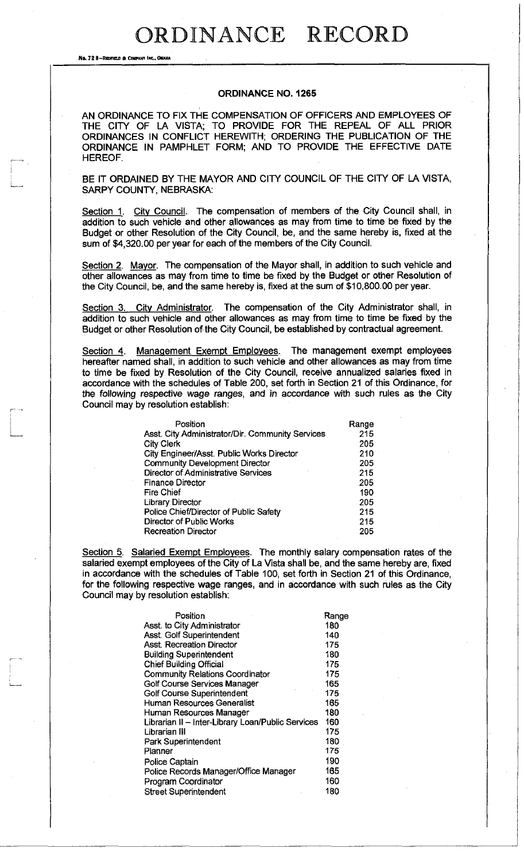No. 72 8-REDFIELD & COMPANY INC., OMAHA

#### **ORDINANCE NO. 1265**

AN ORDINANCE TO FIX THE COMPENSATION OF OFFICERS AND EMPLOYEES OF THE CITY OF LA VISTA; TO PROVIDE FOR THE REPEAL OF ALL PRIOR ORDINANCES IN CONFLICT HEREWITH; ORDERING THE PUBLICATION OF THE ORDINANCE IN PAMPHLET FORM; AND TO PROVIDE THE EFFECTIVE DATE HEREOF.

BE IT ORDAINED BY THE MAYOR AND CITY COUNCIL OF THE CITY OF LA VISTA, SARPY COUNTY, NEBRASKA:

Section 1. City Council. The compensation of members of the City Council shall, in addition to such vehicle and other allowances as may from time to time be fixed by the Budget or other Resolution of the City Council, be, and the same hereby is, fixed at the sum of \$4,320.00 per year for each of the members of the City Council.

Section 2. Mayor. The compensation of the Mayor shall, in addition to such vehicle and other allowances as may from time to time be fixed by the Budget or other Resolution of the City Council, be, and the same hereby is, fixed at the sum of \$10,800.00 per year.

Section 3. City Administrator. The compensation of the City Administrator shall, in addition to such vehicle and other allowances as may from time to time be fixed by the Budget or other Resolution of the City Council, be established by contractual agreement.

Section 4. Management Exempt Employees. The management exempt employees hereafter named shall, in addition to such vehicle and other allowances as may from time to time be fixed by Resolution of the City Council, receive annualized salaries fixed in accordance with the schedules of Table 200, set forth in Section 21 of this Ordinance, for the following respective wage ranges, and in accordance with such rules as the City Council may by resolution establish:

| Position                                         | Range |
|--------------------------------------------------|-------|
| Asst. City Administrator/Dir. Community Services | 215   |
| <b>City Clerk</b>                                | 205   |
| City Engineer/Asst. Public Works Director        | 210   |
| <b>Community Development Director</b>            | 205   |
| Director of Administrative Services              | 215   |
| <b>Finance Director</b>                          | 205   |
| <b>Fire Chief</b>                                | 190   |
| <b>Library Director</b>                          | 205   |
| Police Chief/Director of Public Safety           | 215   |
| Director of Public Works                         | 215   |
| <b>Recreation Director</b>                       | 205   |

Section 5. Salaried Exempt Employees. The monthly salary compensation rates of the salaried exempt employees of the City of La Vista shall be, and the same hereby are, fixed in accordance with the schedules of Table 100; set forth in Section 21 of this Ordinance, for the following respective wage ranges, and in accordance with such rules as the City Council may by resolution establish:

| Position                                          | Range |
|---------------------------------------------------|-------|
| Asst. to City Administrator                       | 180   |
| Asst. Golf Superintendent                         | 140   |
| Asst. Recreation Director                         | 175   |
| <b>Building Superintendent</b>                    | 180   |
| <b>Chief Building Official</b>                    | 175   |
| <b>Community Relations Coordinator</b>            | 175   |
| Golf Course Services Manager                      | 165   |
| <b>Golf Course Superintendent</b>                 | 175   |
| Human Resources Generalist                        | 165   |
| Human Resources Manager                           | 180   |
| Librarian II - Inter-Library Loan/Public Services | 160   |
| Librarian III                                     | 175   |
| Park Superintendent                               | 180   |
| Planner                                           | 175   |
| Police Captain                                    | 190   |
| Police Records Manager/Office Manager             | 165   |
| Program Coordinator                               | 160   |
| <b>Street Superintendent</b>                      | 180   |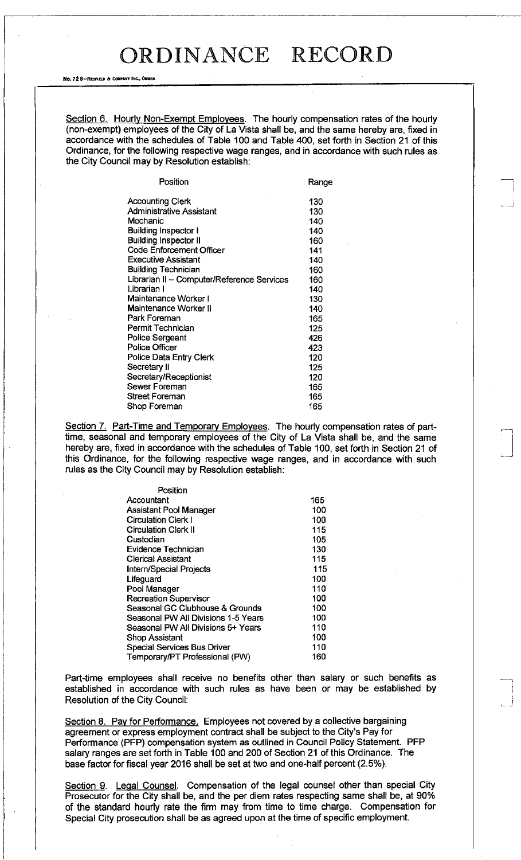No. 72 8-REDFIELD & COMPANY INC., OMAHA

Section 6. Hourly Non-Exempt Employees. The hourly compensation rates of the hourly (non-exempt) employees of the City of La Vista shall be, and the same hereby are, fixed in accordance with the schedules of Table 100 and Table 400, set forth in Section 21 of this Ordinance, for the following respective wage ranges, and in accordance with such rules as the City Council may by Resolution establish:

| Position                                   | Range |
|--------------------------------------------|-------|
| <b>Accounting Clerk</b>                    | 130   |
| <b>Administrative Assistant</b>            | 130   |
| Mechanic                                   | 140   |
| <b>Building Inspector I</b>                | 140   |
| <b>Building Inspector II</b>               | 160   |
| Code Enforcement Officer                   | 141   |
| <b>Executive Assistant</b>                 | 140   |
| <b>Building Technician</b>                 | 160   |
| Librarian II - Computer/Reference Services | 160   |
| Librarian I                                | 140   |
| Maintenance Worker I                       | 130   |
| Maintenance Worker II                      | 140   |
| Park Foreman                               | 165   |
| Permit Technician                          | 125   |
| <b>Police Sergeant</b>                     | 426   |
| Police Officer                             | 423   |
| Police Data Entry Clerk                    | 120   |
| Secretary II                               | 125   |
| Secretary/Receptionist                     | 120   |
| Sewer Foreman                              | 165   |
| <b>Street Foreman</b>                      | 165   |
| Shop Foreman                               | 165   |
|                                            |       |

Section 7. Part-Time and Temporary Employees. The hourly compensation rates of parttime, seasonal and temporary employees of the City of La Vista shall be, and the same hereby are, fixed in accordance with the schedules of Table 100, set forth in Section 21 of this Ordinance, for the following respective wage ranges, and in accordance with such rules as the City Council may by Resolution establish:

| Position                            |     |
|-------------------------------------|-----|
| Accountant                          | 165 |
| Assistant Pool Manager              | 100 |
| <b>Circulation Clerk I</b>          | 100 |
| <b>Circulation Clerk II</b>         | 115 |
| Custodian                           | 105 |
| Evidence Technician                 | 130 |
| <b>Clerical Assistant</b>           | 115 |
| <b>Intern/Special Projects</b>      | 115 |
| Lifeguard                           | 100 |
| Pool Manager                        | 110 |
| <b>Recreation Supervisor</b>        | 100 |
| Seasonal GC Clubhouse & Grounds     | 100 |
| Seasonal PW All Divisions 1-5 Years | 100 |
| Seasonal PW All Divisions 5+ Years  | 110 |
| <b>Shop Assistant</b>               | 100 |
| <b>Special Services Bus Driver</b>  | 110 |
| Temporary/PT Professional (PW)      | 160 |

Part-time employees shall receive no benefits other than salary or such benefits as established in accordance with such rules as have been or may be established by Resolution of the City Council:

Section 8. Pay for Performance. Employees not covered by a collective bargaining agreement or express employment contract shall be subject to the City's Pay for Performance (PFP) compensation system as outlined in Council Policy Statement. PFP salary ranges are set forth in Table 100 and 200 of Section 21 of this Ordinance. The base factor for fiscal year 2016 shall be set at two and one-half percent (2.5%).

Section 9. Legal Counsel. Compensation of the legal counsel other than special City Prosecutor for the City shall be, and the per diem rates respecting same shall be, at 90% of the standard hourly rate the firm may from time to time charge. Compensation for Special City prosecution shall be as agreed upon at the time of specific employment.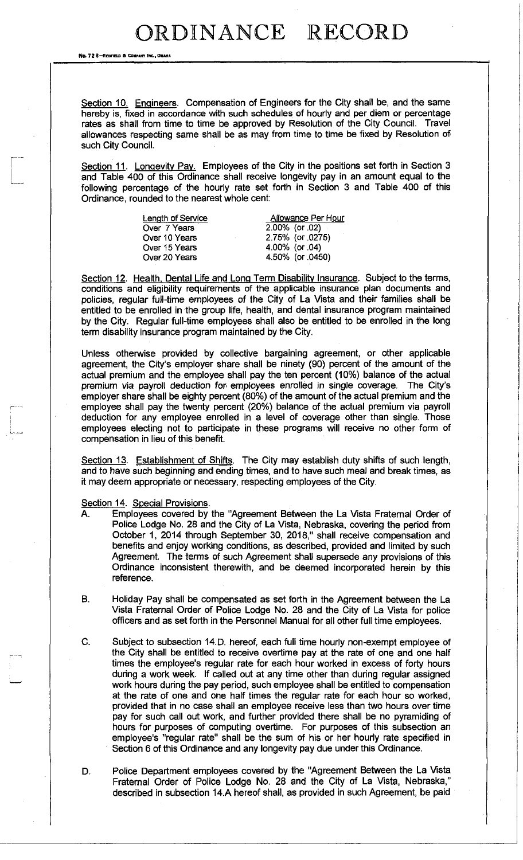No. 72 8-REDFIELD & COMPANY INC., OM

Section 10. Engineers. Compensation of Engineers for the City shall be, and the same hereby is, fixed in accordance with such schedules of hourly and per diem or percentage rates as shall from time to time be approved by Resolution of the City Council. Travel allowances respecting same shall be as may from time to time be fixed by Resolution of such City Council.

Section 11. Longevity Pay. Employees of the City in the positions set forth in Section 3 and Table 400 of this Ordinance shall receive longevity pay in an amount equal to the following percentage of the hourly rate set forth in Section 3 and Table 400 of this Ordinance, rounded to the nearest whole cent:

| <b>Length of Service</b> | Allowance Per Hour |
|--------------------------|--------------------|
| Over 7 Years             | $2.00\%$ (or 02)   |
| Over 10 Years            | 2.75% (or 0275)    |
| Over 15 Years            | 4.00% (or 04)      |
| Over 20 Years            | 4.50% (or 0450)    |
|                          |                    |

Section 12. Health, Dental Life and Long Term Disability Insurance. Subject to the terms, conditions and eligibility requirements of the applicable insurance plan documents and policies, regular full-time employees of the City of La Vista and their families shall be entitled to be enrolled in the group life, health, and dental insurance program maintained by the City. Regular full-time employees shall also be entitled to be enrolled in the long term disability insurance program maintained by the City.

Unless otherwise provided by collective bargaining agreement, or other applicable agreement, the City's employer share shall be ninety (90) percent of the amount of the actual premium and the employee shall pay the ten percent (10%) balance of the actual premium via payroll deduction for employees enrolled in single coverage. The City's employer share shall be eighty percent (80%) of the amount of the actual premium and the employee shall pay the twenty percent (20%) balance of the actual premium via payroll deduction for any employee enrolled in a level of coverage other than single. Those employees electing not to participate in these programs will receive no other form of compensation in lieu of this benefit.

Section 13. Establishment of Shifts. The City may establish duty shifts of such length, and to have such beginning and ending times, and to have such meal and break times, as it may deem appropriate or necessary, respecting employees of the City.

Section 14. Special Provisions.

- A. Employees covered by the "Agreement Between the La Vista Fraternal Order of Police Lodge No. 28 and the City of La Vista, Nebraska, covering the period from October 1, 2014 through September 30, 2018," shall receive compensation and benefits and enjoy working conditions, as described, provided and limited by such Agreement. The terms of such Agreement shall supersede any provisions of this Ordinance inconsistent therewith, and be deemed incorporated herein by this reference.
- B. Holiday Pay shall be compensated as set forth in the Agreement between the La Vista Fraternal Order of Police Lodge No. 28 and the City of La Vista for police officers and as set forth in the Personnel Manual for all other full time employees.
- C. Subject to subsection 14.D. hereof, each full time hourly non-exempt employee of the City shall be entitled to receive overtime pay at the rate of one and one half times the employee's regular rate for each hour worked in excess of forty hours during a work week. If called out at any time other than during regular assigned work hours during the pay period, such employee shall be entitled to compensation at the rate of one and one half times the regular rate for each hour so worked, provided that in no case shall an employee receive less than two hours over time pay for such call out work, and further provided there shall be no pyramiding of hours for purposes of computing overtime. For purposes of this subsection an employee's "regular rate" shall be the sum of his or her hourly rate specified in Section 6 of this Ordinance and any longevity pay due under this Ordinance.
- D. Police Department employees covered by the "Agreement Between the La Vista Fraternal Order of Police Lodge No. 28 and the City of La Vista, Nebraska," described in subsection 14.A hereof shall, as provided in such Agreement, be paid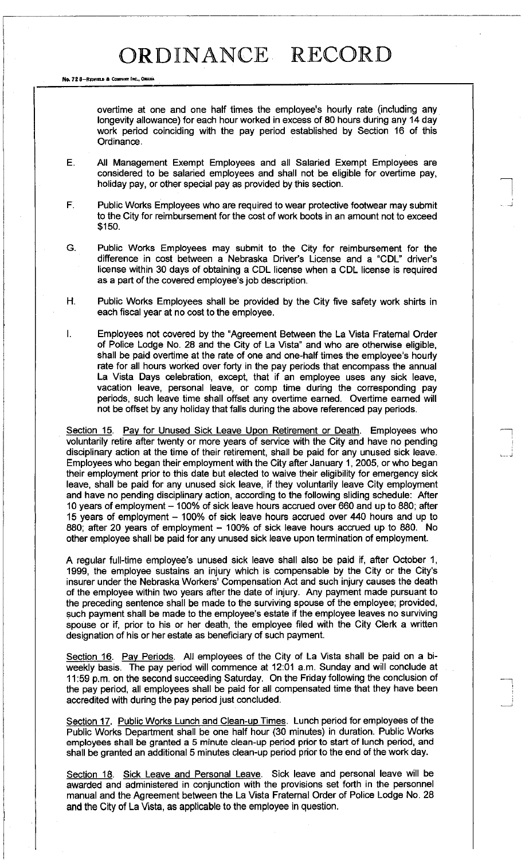No. 72 8-REDFIELD & COMPANY INC., OMAHA

overtime at one and one half times the employee's hourly rate (including any longevity allowance) for each hour worked in excess of 80 hours during any 14 day work period coinciding with the pay period established by Section 16 of this Ordinance.

E. All Management Exempt Employees and all Salaried Exempt Employees are considered to be salaried employees and shall not be eligible for overtime pay, holiday pay, or other special pay as provided by this section.

F. Public Works Employees who are required to wear protective footwear may submit to the City for reimbursement for the cost of work boots in an amount not to exceed \$150.

G. Public Works Employees may submit to the City for reimbursement for the difference in cost between a Nebraska Driver's License and a "CDL" driver's license within 30 days of obtaining a CDL license when a CDL license is required as a part of the covered employee's job description.

H. Public Works Employees shall be provided by the City five safety work shirts in each fiscal year at no cost to the employee.

I. Employees not covered by the "Agreement Between the La Vista Fraternal Order of Police Lodge No. 28 and the City of La Vista" and who are otherwise eligible, shall be paid overtime at the rate of one and one-half times the employee's hourly rate for all hours worked over forty in the pay periods that encompass the annual La Vista Days celebration, except, that if an employee uses any sick leave, vacation leave, personal leave, or comp time during the corresponding pay periods, such leave time shall offset any overtime earned. Overtime earned will not be offset by any holiday that falls during the above referenced pay periods.

Section 15. Pay for Unused Sick Leave Upon Retirement or Death. Employees who voluntarily retire after twenty or more years of service with the City and have no pending disciplinary action at the time of their retirement, shall be paid for any unused sick leave. Employees who began their employment with the City after January 1, 2005, or who began their employment prior to this date but elected to waive their eligibility for emergency sick leave, shall be paid for any unused sick leave, if they voluntarily leave City employment and have no pending disciplinary action, according to the following sliding schedule: After 10 years of employment - 100% of sick leave hours accrued over 660 and up to 880; after 15 years of employment - 100% of sick leave hours accrued over 440 hours and up to 880; after 20 years of employment - 100% of sick leave hours accrued up to 880. No other employee shall be paid for any unused sick leave upon termination of employment.

A regular full-time employee's unused sick leave shall also be paid if, after October 1, 1999, the employee sustains an injury which is compensable by the City or the City's insurer under the Nebraska Workers' Compensation Act and such injury causes the death of the employee within two years after the date of injury. Any payment made pursuant to the preceding sentence shall be made to the surviving spouse of the employee; provided, such payment shall be made to the employee's estate if the employee leaves no surviving spouse or if, prior to his or her death, the employee filed with the City Clerk a written designation of his or her estate as beneficiary of such payment.

Section 16. Pay Periods. All employees of the City of La Vista shall be paid on a biweekly basis. The pay period will commence at 12:01 a.m. Sunday and will conclude at 11:59 p.m. on the second succeeding Saturday. On the Friday following the conclusion of the pay period, all employees shall be paid for all compensated time that they have been accredited with during the pay period just concluded.

Section 17. Public Works Lunch and Clean-up Times. Lunch period for employees of the Public Works Department shall be one half hour (30 minutes) in duration. Public Works employees shall be granted a 5 minute clean-up period prior to start of lunch period, and shall be granted an additional 5 minutes clean-up period prior to the end of the work day.

Section 18. Sick Leave and Personal Leave. Sick leave and personal leave will be awarded and administered in conjunction with the provisions set forth in the personnel manual and the Agreement between the La Vista Fraternal Order of Police Lodge No. 28 and the City of La Vista, as applicable to the employee in question.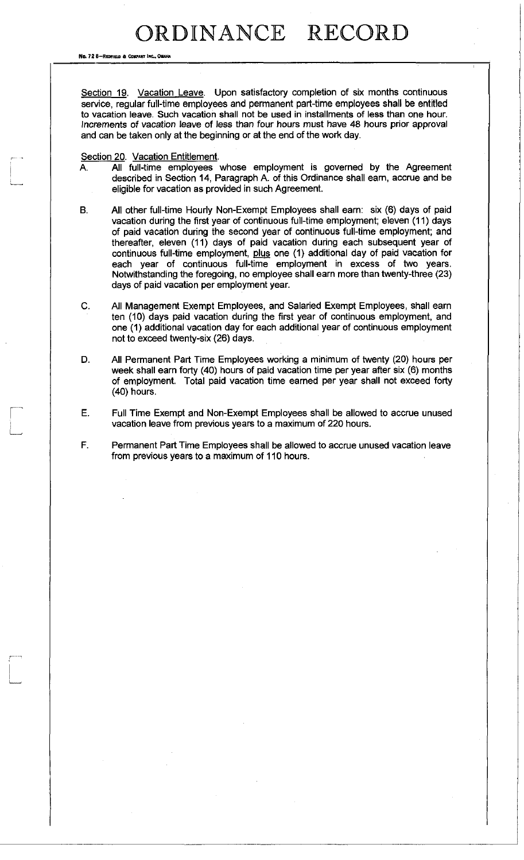No. 72 8-REDHELD & COMPANY INC.. ON

Section 19. Vacation Leave. Upon satisfactory completion of six months continuous service, regular full-time employees and permanent part-time employees shall be entitled to vacation leave. Such vacation shall not be used in installments of less than one hour. Increments of vacation leave of less than four hours must have 48 hours prior approval and can be taken only at the beginning or at the end of the work day.

#### Section 20. Vacation Entitlement.

- A. All full-time employees whose employment is governed by the Agreement described in Section 14, Paragraph A. of this Ordinance shall earn, accrue and be eligible for vacation as provided in such Agreement.
- All other full-time Hourly Non-Exempt Employees shall earn: six (6) days of paid **B.** vacation during the first year of continuous full-time employment; eleven (11) days of paid vacation during the second year of continuous full-time employment; and thereafter, eleven (11) days of paid vacation during each subsequent year of continuous full-time employment, plus one (1) additional day of paid vacation for each year of continuous full-time employment in excess of two years. Notwithstanding the foregoing, no employee shall earn more than twenty-three (23) days of paid vacation per employment year.
- C. All Management Exempt Employees, and Salaried Exempt Employees, shall earn ten (10) days paid vacation during the first year of continuous employment, and one (1) additional vacation day for each additional year of continuous employment not to exceed twenty-six (26) days.
- D. All Permanent Part Time Employees working a minimum of twenty (20) hours per week shall earn forty (40) hours of paid vacation time per year after six (6) months of employment. Total paid vacation time earned per year shall not exceed forty (40) hours.
- E. Full Time Exempt and Non-Exempt Employees shall be allowed to accrue unused vacation leave from previous years to a maximum of 220 hours.
- Permanent Part Time Employees shall be allowed to accrue unused vacation leave F. from previous years to a maximum of 110 hours.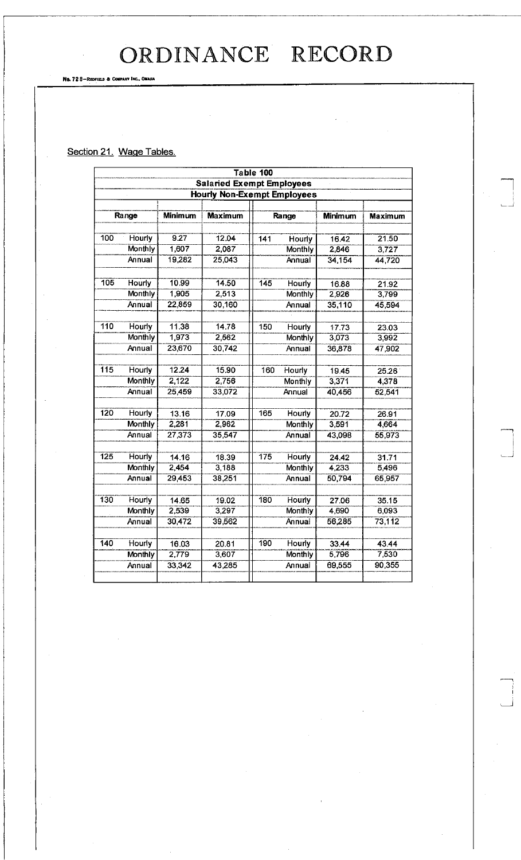No. 72 8-REDFIELD & COMPANY INC., OMAHA

### Section 21. Wage Tables.

|                  | Table 100      |                |                                    |     |                |         |                |
|------------------|----------------|----------------|------------------------------------|-----|----------------|---------|----------------|
|                  |                |                | <b>Salaried Exempt Employees</b>   |     |                |         |                |
|                  |                |                | <b>Hourly Non-Exempt Employees</b> |     |                |         |                |
|                  |                |                |                                    |     |                |         |                |
|                  | Range          | <b>Minimum</b> | <b>Maximum</b>                     |     | Range          | Minimum | <b>Maximum</b> |
|                  |                |                |                                    |     |                |         |                |
| 100              | Hourly         | 9.27           | 12.04                              | 141 | Hourly         | 16.42   | 21.50          |
|                  | <b>Monthly</b> | 1,607          | 2,087                              |     | Monthly        | 2,846   | 3,727          |
|                  | Annual         | 19,282         | 25,043                             |     | Annual         | 34,154  | 44,720         |
| 105              | Hourly         | 10.99          | 14.50                              | 145 | Hourly         | 16.88   | 21.92          |
|                  | Monthly        | 1,905          | 2,513                              |     | Monthly        | 2,926   | 3,799          |
|                  | Annual         | 22,859         | 30,160                             |     | Annual         | 35,110  | 45,594         |
|                  |                |                |                                    |     |                |         |                |
| $\overline{110}$ | Hourly         | 11.38          | 14.78                              | 150 | <b>Hourly</b>  | 17.73   | 23.03          |
|                  | Monthly        | 1,973          | 2,562                              |     | Monthly        | 3,073   | 3,992          |
|                  | Annual         | 23,670         | 30,742                             |     | Annual         | 36,878  | 47,902         |
|                  |                |                |                                    |     |                |         |                |
| 115              | Hourly         | 12.24          | 15.90                              | 160 | Hourly         | 19.45   | 25.26          |
|                  | Monthly        | 2,122          | 2,756                              |     | Monthly        | 3,371   | 4,378          |
|                  | Annual         | 25,459         | 33,072                             |     | Annual         | 40,456  | 52,541         |
| 120              | Hourly         | 13.16          | 17.09                              | 165 | Hourly         | 20.72   | 26.91          |
|                  | <b>Monthly</b> | 2,281          | 2,962                              |     | <b>Monthly</b> | 3.591   | 4,664          |
|                  | Annual         | 27,373         | 35,547                             |     | Annual         | 43,098  | 55,973         |
|                  |                |                |                                    |     |                |         |                |
| $\overline{125}$ | <b>Hourly</b>  | 14.16          | 18.39                              | 175 | Hourly         | 24.42   | 31.71          |
|                  | Monthly        | 2,454          | 3,188                              |     | <b>Monthly</b> | 4,233   | 5,496          |
|                  | Annual         | 29,453         | 38,251                             |     | Annual         | 50,794  | 65,957         |
| 130              | Hourly         | 14.65          | 19.02                              | 180 | Hourly         | 27.06   | 35.15          |
|                  | Monthly        | 2,539          | 3,297                              |     | Monthly        | 4,690   | 6,093          |
|                  | Annual         | 30,472         | 39,562                             |     | Annual         | 56,285  | 73,112         |
| 140              |                |                |                                    |     |                |         |                |
|                  | Hourly         | 16.03          | 20.81                              | 190 | <b>Hourly</b>  | 33.44   | 43.44          |
|                  | <b>Monthly</b> | 2,779          | 3,607                              |     | Monthly        | 5,796   | 7,530          |
|                  | Annual         | 33,342         | 43,285                             |     | Annual         | 69,555  | 90,355         |
|                  |                |                |                                    |     |                |         |                |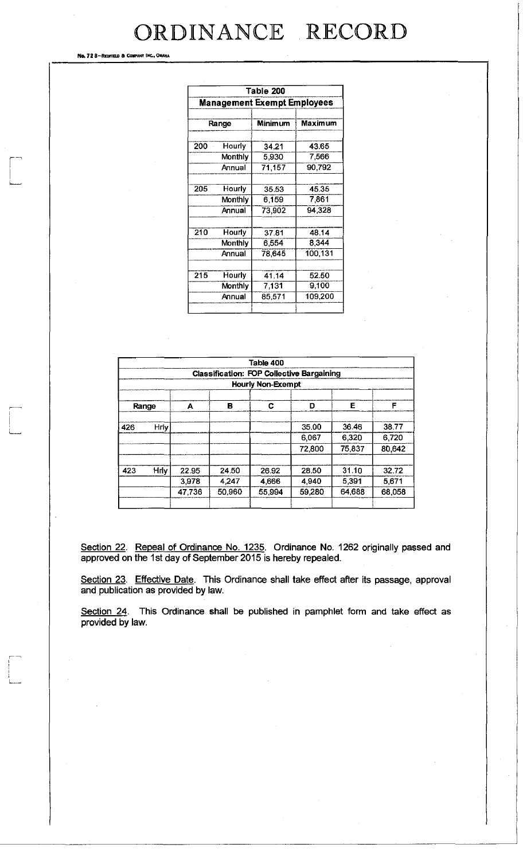Ne. 72 8-REDFIELD & COMPANY INC.

| Table 200                   |         |                |                |  |  |
|-----------------------------|---------|----------------|----------------|--|--|
| Management Exempt Employees |         |                |                |  |  |
| Range                       |         | <b>Minimum</b> | <b>Maximum</b> |  |  |
|                             |         |                |                |  |  |
| 200                         | Hourly  | 34.21          | 43.65          |  |  |
|                             | Monthly | 5,930          | 7,566          |  |  |
|                             | Annual  | 71,157         | 90,792         |  |  |
|                             |         |                |                |  |  |
| 205                         | Hourly  | 35.53          | 45.35          |  |  |
|                             | Monthly | 6,159          | 7,861          |  |  |
|                             | Annual  | 73,902         | 94.328         |  |  |
|                             |         |                |                |  |  |
| 210                         | Hourly  | 37.81          | 48.14          |  |  |
|                             | Monthly | 6,554          | 8,344          |  |  |
|                             | Annual  | 78,645         | 100,131        |  |  |
|                             |         |                |                |  |  |
| 215                         | Hourly  | 41.14          | 52.50          |  |  |
|                             | Monthly | 7,131          | 9,100          |  |  |
|                             | Annual  | 85,571         | 109,200        |  |  |
|                             |         |                |                |  |  |

|                          | Table 400<br><b>Classification: FOP Collective Bargaining</b> |        |         |        |        |        |        |  |
|--------------------------|---------------------------------------------------------------|--------|---------|--------|--------|--------|--------|--|
| <b>Hourly Non-Exempt</b> |                                                               |        |         |        |        |        |        |  |
| Range                    |                                                               | А      | в       | С      | D      | Е      | F      |  |
| 426                      | Hriy                                                          |        |         |        | 35.00  | 36.46  | 38.77  |  |
|                          |                                                               |        |         |        | 6.067  | 6,320  | 6,720  |  |
|                          |                                                               |        |         |        | 72,800 | 75,837 | 80,642 |  |
| 423                      | Hrly                                                          | 22.95  | 24.50   | 26.92  | 28.50  | 31.10  | 32.72  |  |
|                          |                                                               | 3,978  | 4 2 4 7 | 4.666  | 4.940  | 5,391  | 5,671  |  |
|                          |                                                               | 47,736 | 50,960  | 55,994 | 59,280 | 64.688 | 68,058 |  |
|                          |                                                               |        |         |        |        |        |        |  |

Section 22. Repeal of Ordinance No. 1235. Ordinance No. 1262 originally passed and approved on the 1st day of September 2015 is hereby repealed.

Section 23. Effective Date. This Ordinance shall take effect after its passage, approval and publication as provided by law.

Section 24. This Ordinance shall be published in pamphlet form and take effect as provided by law.